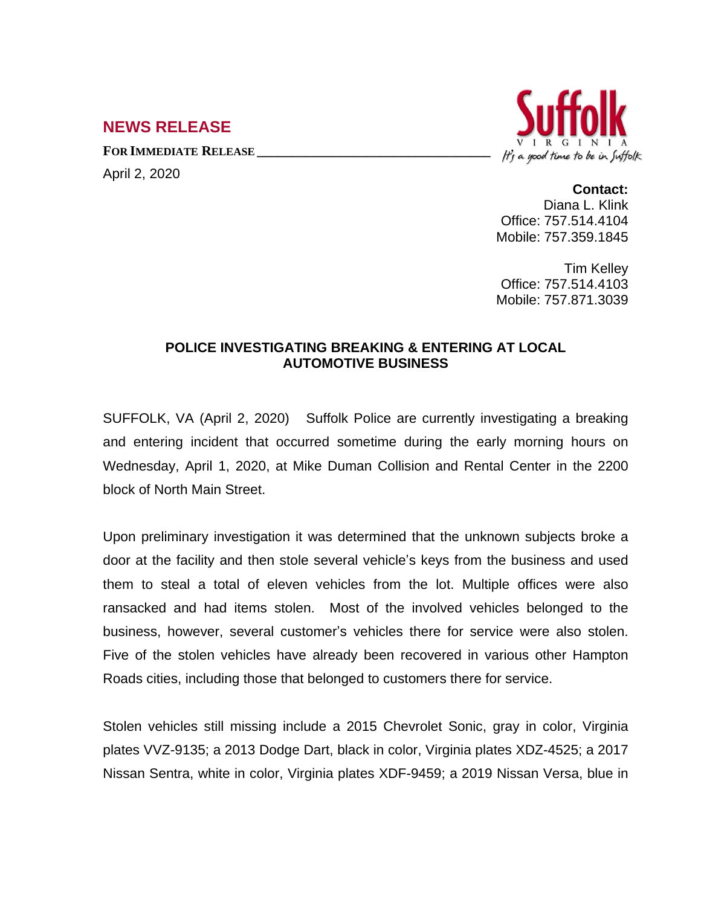## **NEWS RELEASE**

**FOR IMMEDIATE RELEASE \_\_\_\_\_\_\_\_\_\_\_\_\_\_\_\_\_\_\_\_\_\_\_\_\_\_\_\_\_\_\_\_\_\_**

April 2, 2020



## **Contact:**

Diana L. Klink Office: 757.514.4104 Mobile: 757.359.1845

Tim Kelley Office: 757.514.4103 Mobile: 757.871.3039

## **POLICE INVESTIGATING BREAKING & ENTERING AT LOCAL AUTOMOTIVE BUSINESS**

SUFFOLK, VA (April 2, 2020) Suffolk Police are currently investigating a breaking and entering incident that occurred sometime during the early morning hours on Wednesday, April 1, 2020, at Mike Duman Collision and Rental Center in the 2200 block of North Main Street.

Upon preliminary investigation it was determined that the unknown subjects broke a door at the facility and then stole several vehicle's keys from the business and used them to steal a total of eleven vehicles from the lot. Multiple offices were also ransacked and had items stolen. Most of the involved vehicles belonged to the business, however, several customer's vehicles there for service were also stolen. Five of the stolen vehicles have already been recovered in various other Hampton Roads cities, including those that belonged to customers there for service.

Stolen vehicles still missing include a 2015 Chevrolet Sonic, gray in color, Virginia plates VVZ-9135; a 2013 Dodge Dart, black in color, Virginia plates XDZ-4525; a 2017 Nissan Sentra, white in color, Virginia plates XDF-9459; a 2019 Nissan Versa, blue in